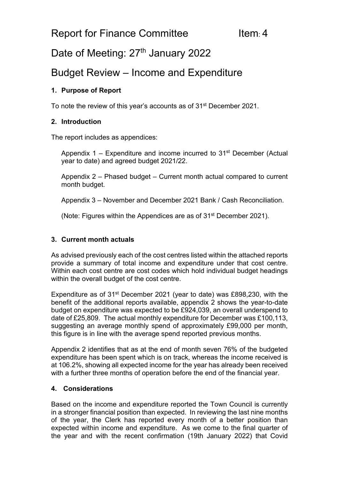# Date of Meeting: 27<sup>th</sup> January 2022

## Budget Review – Income and Expenditure

### **1. Purpose of Report**

To note the review of this year's accounts as of 31<sup>st</sup> December 2021.

#### **2. Introduction**

The report includes as appendices:

Appendix 1 – Expenditure and income incurred to  $31<sup>st</sup>$  December (Actual year to date) and agreed budget 2021/22.

Appendix 2 – Phased budget – Current month actual compared to current month budget.

Appendix 3 – November and December 2021 Bank / Cash Reconciliation.

(Note: Figures within the Appendices are as of 31st December 2021).

### **3. Current month actuals**

As advised previously each of the cost centres listed within the attached reports provide a summary of total income and expenditure under that cost centre. Within each cost centre are cost codes which hold individual budget headings within the overall budget of the cost centre.

Expenditure as of 31<sup>st</sup> December 2021 (year to date) was £898,230, with the benefit of the additional reports available, appendix 2 shows the year-to-date budget on expenditure was expected to be £924,039, an overall underspend to date of £25,809. The actual monthly expenditure for December was £100,113, suggesting an average monthly spend of approximately £99,000 per month, this figure is in line with the average spend reported previous months.

Appendix 2 identifies that as at the end of month seven 76% of the budgeted expenditure has been spent which is on track, whereas the income received is at 106.2%, showing all expected income for the year has already been received with a further three months of operation before the end of the financial year.

#### **4. Considerations**

Based on the income and expenditure reported the Town Council is currently in a stronger financial position than expected. In reviewing the last nine months of the year, the Clerk has reported every month of a better position than expected within income and expenditure. As we come to the final quarter of the year and with the recent confirmation (19th January 2022) that Covid